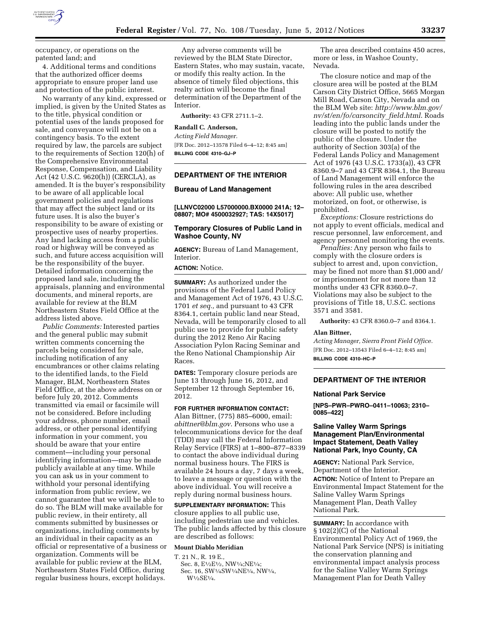

occupancy, or operations on the patented land; and

4. Additional terms and conditions that the authorized officer deems appropriate to ensure proper land use and protection of the public interest.

No warranty of any kind, expressed or implied, is given by the United States as to the title, physical condition or potential uses of the lands proposed for sale, and conveyance will not be on a contingency basis. To the extent required by law, the parcels are subject to the requirements of Section 120(h) of the Comprehensive Environmental Response, Compensation, and Liability Act (42 U.S.C. 9620(h)) (CERCLA), as amended. It is the buyer's responsibility to be aware of all applicable local government policies and regulations that may affect the subject land or its future uses. It is also the buyer's responsibility to be aware of existing or prospective uses of nearby properties. Any land lacking access from a public road or highway will be conveyed as such, and future access acquisition will be the responsibility of the buyer. Detailed information concerning the proposed land sale, including the appraisals, planning and environmental documents, and mineral reports, are available for review at the BLM Northeastern States Field Office at the address listed above.

*Public Comments:* Interested parties and the general public may submit written comments concerning the parcels being considered for sale, including notification of any encumbrances or other claims relating to the identified lands, to the Field Manager, BLM, Northeastern States Field Office, at the above address on or before July 20, 2012. Comments transmitted via email or facsimile will not be considered. Before including your address, phone number, email address, or other personal identifying information in your comment, you should be aware that your entire comment—including your personal identifying information—may be made publicly available at any time. While you can ask us in your comment to withhold your personal identifying information from public review, we cannot guarantee that we will be able to do so. The BLM will make available for public review, in their entirety, all comments submitted by businesses or organizations, including comments by an individual in their capacity as an official or representative of a business or organization. Comments will be available for public review at the BLM, Northeastern States Field Office, during regular business hours, except holidays.

Any adverse comments will be reviewed by the BLM State Director, Eastern States, who may sustain, vacate, or modify this realty action. In the absence of timely filed objections, this realty action will become the final determination of the Department of the Interior.

**Authority:** 43 CFR 2711.1–2.

#### **Randall C. Anderson,**

*Acting Field Manager.*  [FR Doc. 2012–13578 Filed 6–4–12; 8:45 am] **BILLING CODE 4310–GJ–P** 

### **DEPARTMENT OF THE INTERIOR**

### **Bureau of Land Management**

### **[LLNVC02000 L57000000.BX0000 241A; 12– 08807; MO# 4500032927; TAS: 14X5017]**

## **Temporary Closures of Public Land in Washoe County, NV**

**AGENCY:** Bureau of Land Management, Interior.

# **ACTION:** Notice.

**SUMMARY:** As authorized under the provisions of the Federal Land Policy and Management Act of 1976, 43 U.S.C. 1701 *et seq.,* and pursuant to 43 CFR 8364.1, certain public land near Stead, Nevada, will be temporarily closed to all public use to provide for public safety during the 2012 Reno Air Racing Association Pylon Racing Seminar and the Reno National Championship Air Races.

**DATES:** Temporary closure periods are June 13 through June 16, 2012, and September 12 through September 16, 2012.

**FOR FURTHER INFORMATION CONTACT:**  Alan Bittner, (775) 885–6000, email: *[abittner@blm.gov](mailto:abittner@blm.gov)*. Persons who use a telecommunications device for the deaf (TDD) may call the Federal Information Relay Service (FIRS) at 1–800–877–8339 to contact the above individual during normal business hours. The FIRS is available 24 hours a day, 7 days a week, to leave a message or question with the above individual. You will receive a reply during normal business hours.

**SUPPLEMENTARY INFORMATION:** This closure applies to all public use, including pedestrian use and vehicles. The public lands affected by this closure are described as follows:

#### **Mount Diablo Meridian**

T. 21 N., R. 19 E.,

Sec. 8, E<sup>1</sup>/2E<sup>1</sup>/2, NW<sup>1</sup>/4;NE<sup>1</sup>/4; Sec. 16, SW1⁄4SW1⁄4NE1⁄4, NW1⁄4, W1⁄2SE1⁄4.

The area described contains 450 acres, more or less, in Washoe County, Nevada.

The closure notice and map of the closure area will be posted at the BLM Carson City District Office, 5665 Morgan Mill Road, Carson City, Nevada and on the BLM Web site: *[http://www.blm.gov/](http://www.blm.gov/nv/st/en/fo/carsoncity_field.html)  [nv/st/en/fo/carsoncity](http://www.blm.gov/nv/st/en/fo/carsoncity_field.html)*\_*field.html*. Roads leading into the public lands under the closure will be posted to notify the public of the closure. Under the authority of Section 303(a) of the Federal Lands Policy and Management Act of 1976 (43 U.S.C. 1733(a)), 43 CFR 8360.9–7 and 43 CFR 8364.1, the Bureau of Land Management will enforce the following rules in the area described above: All public use, whether motorized, on foot, or otherwise, is prohibited.

*Exceptions:* Closure restrictions do not apply to event officials, medical and rescue personnel, law enforcement, and agency personnel monitoring the events.

*Penalties:* Any person who fails to comply with the closure orders is subject to arrest and, upon conviction, may be fined not more than \$1,000 and/ or imprisonment for not more than 12 months under 43 CFR 8360.0–7. Violations may also be subject to the provisions of Title 18, U.S.C. sections 3571 and 3581.

**Authority:** 43 CFR 8360.0–7 and 8364.1.

#### **Alan Bittner,**

*Acting Manager, Sierra Front Field Office.*  [FR Doc. 2012–13543 Filed 6–4–12; 8:45 am] **BILLING CODE 4310–HC–P** 

# **DEPARTMENT OF THE INTERIOR**

#### **National Park Service**

**[NPS–PWR–PWRO–0411–10063; 2310– 0085–422]** 

# **Saline Valley Warm Springs Management Plan/Environmental Impact Statement, Death Valley National Park, Inyo County, CA**

**AGENCY:** National Park Service, Department of the Interior. **ACTION:** Notice of Intent to Prepare an Environmental Impact Statement for the Saline Valley Warm Springs Management Plan, Death Valley National Park.

**SUMMARY:** In accordance with § 102(2)(C) of the National Environmental Policy Act of 1969, the National Park Service (NPS) is initiating the conservation planning and environmental impact analysis process for the Saline Valley Warm Springs Management Plan for Death Valley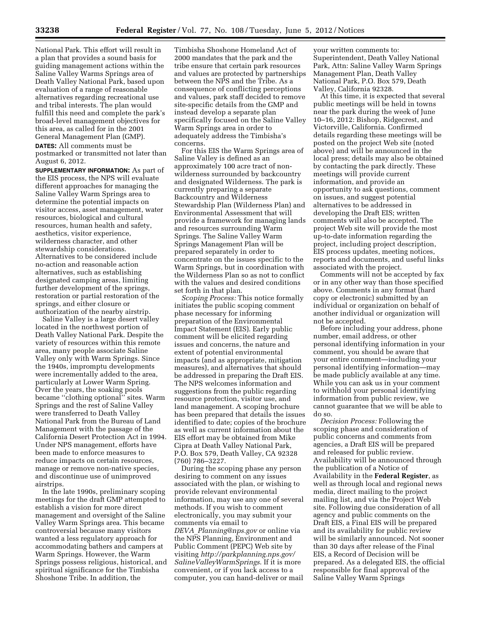National Park. This effort will result in a plan that provides a sound basis for guiding management actions within the Saline Valley Warms Springs area of Death Valley National Park, based upon evaluation of a range of reasonable alternatives regarding recreational use and tribal interests. The plan would fulfill this need and complete the park's broad-level management objectives for this area, as called for in the 2001 General Management Plan (GMP). **DATES:** All comments must be

postmarked or transmitted not later than August 6, 2012.

**SUPPLEMENTARY INFORMATION:** As part of the EIS process, the NPS will evaluate different approaches for managing the Saline Valley Warm Springs area to determine the potential impacts on visitor access, asset management, water resources, biological and cultural resources, human health and safety, aesthetics, visitor experience, wilderness character, and other stewardship considerations. Alternatives to be considered include no-action and reasonable action alternatives, such as establishing designated camping areas, limiting further development of the springs, restoration or partial restoration of the springs, and either closure or authorization of the nearby airstrip.

Saline Valley is a large desert valley located in the northwest portion of Death Valley National Park. Despite the variety of resources within this remote area, many people associate Saline Valley only with Warm Springs. Since the 1940s, impromptu developments were incrementally added to the area, particularly at Lower Warm Spring. Over the years, the soaking pools became ''clothing optional'' sites. Warm Springs and the rest of Saline Valley were transferred to Death Valley National Park from the Bureau of Land Management with the passage of the California Desert Protection Act in 1994. Under NPS management, efforts have been made to enforce measures to reduce impacts on certain resources, manage or remove non-native species, and discontinue use of unimproved airstrips.

In the late 1990s, preliminary scoping meetings for the draft GMP attempted to establish a vision for more direct management and oversight of the Saline Valley Warm Springs area. This became controversial because many visitors wanted a less regulatory approach for accommodating bathers and campers at Warm Springs. However, the Warm Springs possess religious, historical, and spiritual significance for the Timbisha Shoshone Tribe. In addition, the

Timbisha Shoshone Homeland Act of 2000 mandates that the park and the tribe ensure that certain park resources and values are protected by partnerships between the NPS and the Tribe. As a consequence of conflicting perceptions and values, park staff decided to remove site-specific details from the GMP and instead develop a separate plan specifically focused on the Saline Valley Warm Springs area in order to adequately address the Timbisha's concerns.

For this EIS the Warm Springs area of Saline Valley is defined as an approximately 100 acre tract of nonwilderness surrounded by backcountry and designated Wilderness. The park is currently preparing a separate Backcountry and Wilderness Stewardship Plan (Wilderness Plan) and Environmental Assessment that will provide a framework for managing lands and resources surrounding Warm Springs. The Saline Valley Warm Springs Management Plan will be prepared separately in order to concentrate on the issues specific to the Warm Springs, but in coordination with the Wilderness Plan so as not to conflict with the values and desired conditions set forth in that plan.

*Scoping Process:* This notice formally initiates the public scoping comment phase necessary for informing preparation of the Environmental Impact Statement (EIS). Early public comment will be elicited regarding issues and concerns, the nature and extent of potential environmental impacts (and as appropriate, mitigation measures), and alternatives that should be addressed in preparing the Draft EIS. The NPS welcomes information and suggestions from the public regarding resource protection, visitor use, and land management. A scoping brochure has been prepared that details the issues identified to date; copies of the brochure as well as current information about the EIS effort may be obtained from Mike Cipra at Death Valley National Park, P.O. Box 579, Death Valley, CA 92328 (760) 786–3227.

During the scoping phase any person desiring to comment on any issues associated with the plan, or wishing to provide relevant environmental information, may use any one of several methods. If you wish to comment electronically, you may submit your comments via email to *DEVA*\_*[Planning@nps.gov](mailto:DEVA_Planning@nps.gov)* or online via the NPS Planning, Environment and Public Comment (PEPC) Web site by visiting *[http://parkplanning.nps.gov/](http://parkplanning.nps.gov/SalineValleyWarmSprings)  [SalineValleyWarmSprings](http://parkplanning.nps.gov/SalineValleyWarmSprings)*. If it is more convenient, or if you lack access to a computer, you can hand-deliver or mail

your written comments to: Superintendent, Death Valley National Park, Attn: Saline Valley Warm Springs Management Plan, Death Valley National Park, P.O. Box 579, Death Valley, California 92328.

At this time, it is expected that several public meetings will be held in towns near the park during the week of June 10–16, 2012: Bishop, Ridgecrest, and Victorville, California. Confirmed details regarding these meetings will be posted on the project Web site (noted above) and will be announced in the local press; details may also be obtained by contacting the park directly. These meetings will provide current information, and provide an opportunity to ask questions, comment on issues, and suggest potential alternatives to be addressed in developing the Draft EIS; written comments will also be accepted. The project Web site will provide the most up-to-date information regarding the project, including project description, EIS process updates, meeting notices, reports and documents, and useful links associated with the project.

Comments will not be accepted by fax or in any other way than those specified above. Comments in any format (hard copy or electronic) submitted by an individual or organization on behalf of another individual or organization will not be accepted.

Before including your address, phone number, email address, or other personal identifying information in your comment, you should be aware that your entire comment—including your personal identifying information—may be made publicly available at any time. While you can ask us in your comment to withhold your personal identifying information from public review, we cannot guarantee that we will be able to do so.

*Decision Process:* Following the scoping phase and consideration of public concerns and comments from agencies, a Draft EIS will be prepared and released for public review. Availability will be announced through the publication of a Notice of Availability in the **Federal Register**, as well as through local and regional news media, direct mailing to the project mailing list, and via the Project Web site. Following due consideration of all agency and public comments on the Draft EIS, a Final EIS will be prepared and its availability for public review will be similarly announced. Not sooner than 30 days after release of the Final EIS, a Record of Decision will be prepared. As a delegated EIS, the official responsible for final approval of the Saline Valley Warm Springs